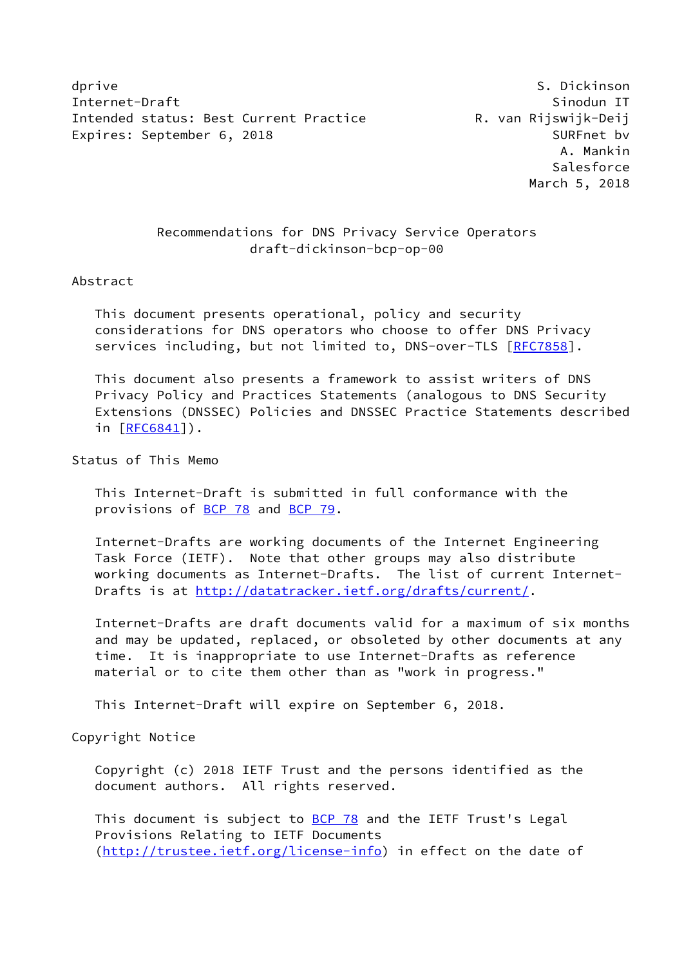dprive the set of the set of the set of the set of the set of the set of the set of the set of the set of the s Internet-Draft Sinodun IT Intended status: Best Current Practice The R. van Rijswijk-Deij Expires: September 6, 2018 SURFnet bv

 A. Mankin **Salesforce** March 5, 2018

# Recommendations for DNS Privacy Service Operators draft-dickinson-bcp-op-00

#### Abstract

 This document presents operational, policy and security considerations for DNS operators who choose to offer DNS Privacy services including, but not limited to, DNS-over-TLS [\[RFC7858](https://datatracker.ietf.org/doc/pdf/rfc7858)].

 This document also presents a framework to assist writers of DNS Privacy Policy and Practices Statements (analogous to DNS Security Extensions (DNSSEC) Policies and DNSSEC Practice Statements described in [[RFC6841\]](https://datatracker.ietf.org/doc/pdf/rfc6841)).

Status of This Memo

 This Internet-Draft is submitted in full conformance with the provisions of [BCP 78](https://datatracker.ietf.org/doc/pdf/bcp78) and [BCP 79](https://datatracker.ietf.org/doc/pdf/bcp79).

 Internet-Drafts are working documents of the Internet Engineering Task Force (IETF). Note that other groups may also distribute working documents as Internet-Drafts. The list of current Internet- Drafts is at<http://datatracker.ietf.org/drafts/current/>.

 Internet-Drafts are draft documents valid for a maximum of six months and may be updated, replaced, or obsoleted by other documents at any time. It is inappropriate to use Internet-Drafts as reference material or to cite them other than as "work in progress."

This Internet-Draft will expire on September 6, 2018.

Copyright Notice

 Copyright (c) 2018 IETF Trust and the persons identified as the document authors. All rights reserved.

This document is subject to **[BCP 78](https://datatracker.ietf.org/doc/pdf/bcp78)** and the IETF Trust's Legal Provisions Relating to IETF Documents [\(http://trustee.ietf.org/license-info](http://trustee.ietf.org/license-info)) in effect on the date of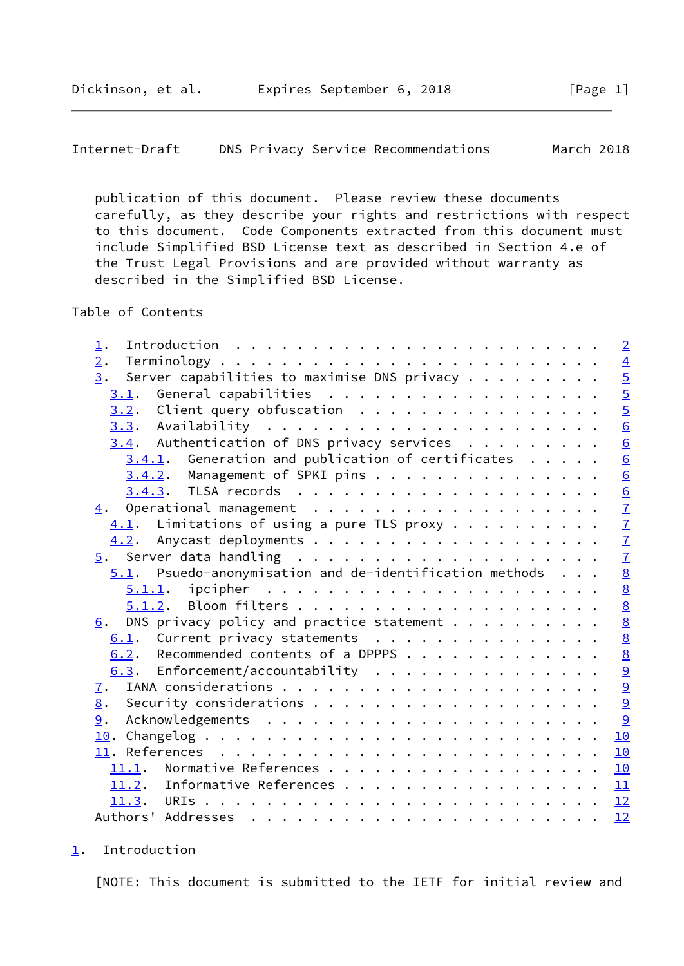```
Internet-Draft DNS Privacy Service Recommendations March 2018
```
 publication of this document. Please review these documents carefully, as they describe your rights and restrictions with respect to this document. Code Components extracted from this document must include Simplified BSD License text as described in Section 4.e of the Trust Legal Provisions and are provided without warranty as described in the Simplified BSD License.

#### Table of Contents

| 1.                                                                    | $\overline{2}$  |
|-----------------------------------------------------------------------|-----------------|
| 2.                                                                    |                 |
| Server capabilities to maximise DNS privacy $\dots \dots \dots$<br>3. |                 |
| $3.1$ . General capabilities                                          |                 |
| $3.2$ . Client query obfuscation                                      | $\frac{4}{5}$   |
|                                                                       | $\overline{6}$  |
| $3.4$ . Authentication of DNS privacy services                        | 6               |
| $3.4.1$ . Generation and publication of certificates                  | $\underline{6}$ |
| $3.4.2$ . Management of SPKI pins                                     | $\underline{6}$ |
|                                                                       |                 |
|                                                                       | $\frac{6}{7}$   |
| $\underline{4.1}$ . Limitations of using a pure TLS proxy             |                 |
|                                                                       | $\overline{1}$  |
|                                                                       | $\overline{1}$  |
| $5.1$ . Psuedo-anonymisation and de-identification methods            | $\frac{8}{8}$   |
|                                                                       |                 |
|                                                                       |                 |
| DNS privacy policy and practice statement $\cdots$<br>6.              | $\frac{8}{8}$   |
| $6.1$ . Current privacy statements                                    | $\underline{8}$ |
| 6.2. Recommended contents of a DPPPS                                  | $\underline{8}$ |
| 6.3. Enforcement/accountability                                       |                 |
|                                                                       | $\frac{9}{9}$   |
| 8.                                                                    | 9               |
| 9.                                                                    |                 |
|                                                                       | 10              |
|                                                                       | 10              |
| 11.1. Normative References                                            | 10              |
| 11.2. Informative References 11                                       |                 |
|                                                                       |                 |
|                                                                       | 12              |

# <span id="page-1-0"></span>[1](#page-1-0). Introduction

[NOTE: This document is submitted to the IETF for initial review and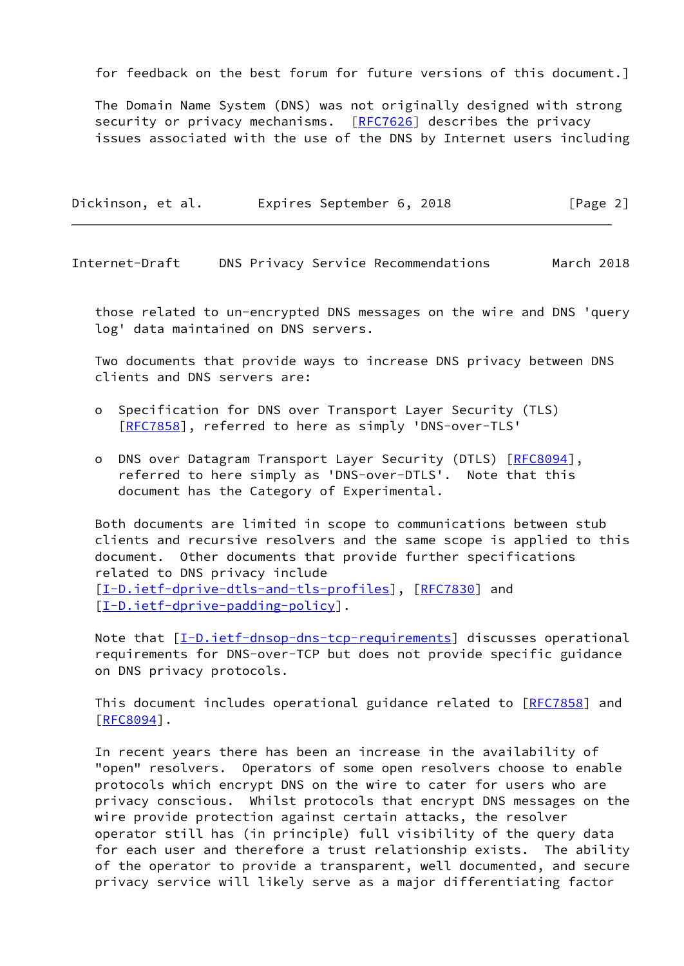for feedback on the best forum for future versions of this document.]

 The Domain Name System (DNS) was not originally designed with strong security or privacy mechanisms. [\[RFC7626](https://datatracker.ietf.org/doc/pdf/rfc7626)] describes the privacy issues associated with the use of the DNS by Internet users including

| Dickinson, et al. | Expires September 6, 2018 | [Page 2] |
|-------------------|---------------------------|----------|
|-------------------|---------------------------|----------|

Internet-Draft DNS Privacy Service Recommendations March 2018

 those related to un-encrypted DNS messages on the wire and DNS 'query log' data maintained on DNS servers.

 Two documents that provide ways to increase DNS privacy between DNS clients and DNS servers are:

- o Specification for DNS over Transport Layer Security (TLS) [[RFC7858\]](https://datatracker.ietf.org/doc/pdf/rfc7858), referred to here as simply 'DNS-over-TLS'
- o DNS over Datagram Transport Layer Security (DTLS) [\[RFC8094](https://datatracker.ietf.org/doc/pdf/rfc8094)], referred to here simply as 'DNS-over-DTLS'. Note that this document has the Category of Experimental.

 Both documents are limited in scope to communications between stub clients and recursive resolvers and the same scope is applied to this document. Other documents that provide further specifications related to DNS privacy include [\[I-D.ietf-dprive-dtls-and-tls-profiles](#page-10-4)], [\[RFC7830](https://datatracker.ietf.org/doc/pdf/rfc7830)] and [\[I-D.ietf-dprive-padding-policy](#page-10-5)].

Note that  $[I-D.ietf-dnsop-dns-tcp-requirements]$  $[I-D.ietf-dnsop-dns-tcp-requirements]$  $[I-D.ietf-dnsop-dns-tcp-requirements]$  discusses operational requirements for DNS-over-TCP but does not provide specific guidance on DNS privacy protocols.

This document includes operational guidance related to [\[RFC7858](https://datatracker.ietf.org/doc/pdf/rfc7858)] and [\[RFC8094](https://datatracker.ietf.org/doc/pdf/rfc8094)].

 In recent years there has been an increase in the availability of "open" resolvers. Operators of some open resolvers choose to enable protocols which encrypt DNS on the wire to cater for users who are privacy conscious. Whilst protocols that encrypt DNS messages on the wire provide protection against certain attacks, the resolver operator still has (in principle) full visibility of the query data for each user and therefore a trust relationship exists. The ability of the operator to provide a transparent, well documented, and secure privacy service will likely serve as a major differentiating factor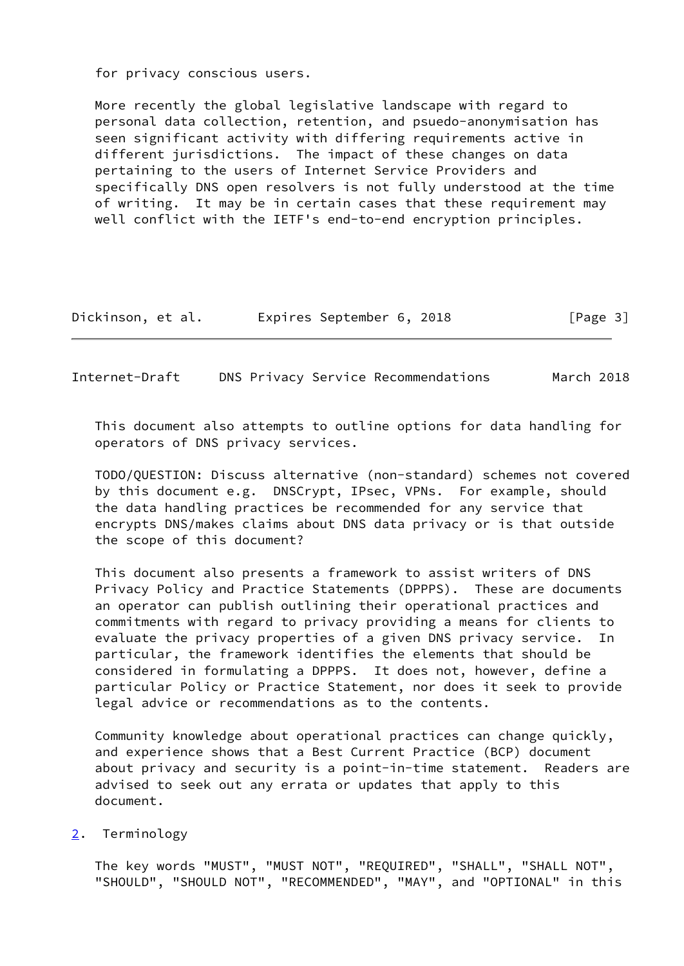for privacy conscious users.

 More recently the global legislative landscape with regard to personal data collection, retention, and psuedo-anonymisation has seen significant activity with differing requirements active in different jurisdictions. The impact of these changes on data pertaining to the users of Internet Service Providers and specifically DNS open resolvers is not fully understood at the time of writing. It may be in certain cases that these requirement may well conflict with the IETF's end-to-end encryption principles.

| Dickinson, et al. | Expires September 6, 2018 | [Page 3] |
|-------------------|---------------------------|----------|
|-------------------|---------------------------|----------|

<span id="page-3-1"></span>Internet-Draft DNS Privacy Service Recommendations March 2018

 This document also attempts to outline options for data handling for operators of DNS privacy services.

 TODO/QUESTION: Discuss alternative (non-standard) schemes not covered by this document e.g. DNSCrypt, IPsec, VPNs. For example, should the data handling practices be recommended for any service that encrypts DNS/makes claims about DNS data privacy or is that outside the scope of this document?

 This document also presents a framework to assist writers of DNS Privacy Policy and Practice Statements (DPPPS). These are documents an operator can publish outlining their operational practices and commitments with regard to privacy providing a means for clients to evaluate the privacy properties of a given DNS privacy service. In particular, the framework identifies the elements that should be considered in formulating a DPPPS. It does not, however, define a particular Policy or Practice Statement, nor does it seek to provide legal advice or recommendations as to the contents.

 Community knowledge about operational practices can change quickly, and experience shows that a Best Current Practice (BCP) document about privacy and security is a point-in-time statement. Readers are advised to seek out any errata or updates that apply to this document.

### <span id="page-3-0"></span>[2](#page-3-0). Terminology

 The key words "MUST", "MUST NOT", "REQUIRED", "SHALL", "SHALL NOT", "SHOULD", "SHOULD NOT", "RECOMMENDED", "MAY", and "OPTIONAL" in this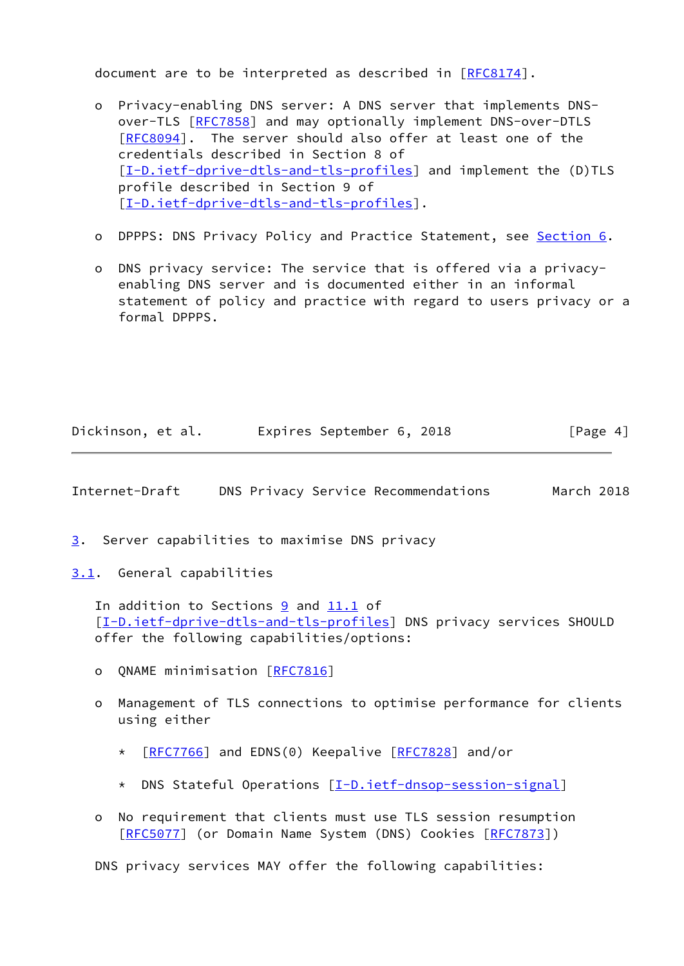document are to be interpreted as described in [\[RFC8174](https://datatracker.ietf.org/doc/pdf/rfc8174)].

- o Privacy-enabling DNS server: A DNS server that implements DNS- over-TLS [\[RFC7858](https://datatracker.ietf.org/doc/pdf/rfc7858)] and may optionally implement DNS-over-DTLS [[RFC8094\]](https://datatracker.ietf.org/doc/pdf/rfc8094). The server should also offer at least one of the credentials described in Section 8 of [[I-D.ietf-dprive-dtls-and-tls-profiles\]](#page-10-4) and implement the (D)TLS profile described in Section 9 of [[I-D.ietf-dprive-dtls-and-tls-profiles\]](#page-10-4).
- o DPPPS: DNS Privacy Policy and Practice Statement, see [Section 6](#page-8-2).
- o DNS privacy service: The service that is offered via a privacy enabling DNS server and is documented either in an informal statement of policy and practice with regard to users privacy or a formal DPPPS.

| Dickinson, et al. | Expires September 6, 2018 | [Page 4] |
|-------------------|---------------------------|----------|
|-------------------|---------------------------|----------|

<span id="page-4-1"></span>Internet-Draft DNS Privacy Service Recommendations March 2018

<span id="page-4-0"></span>[3](#page-4-0). Server capabilities to maximise DNS privacy

<span id="page-4-2"></span>[3.1](#page-4-2). General capabilities

 In addition to Sections [9](#page-9-4) and [11.1](#page-10-3) of [\[I-D.ietf-dprive-dtls-and-tls-profiles](#page-10-4)] DNS privacy services SHOULD offer the following capabilities/options:

- o QNAME minimisation [[RFC7816](https://datatracker.ietf.org/doc/pdf/rfc7816)]
- o Management of TLS connections to optimise performance for clients using either
	- \* [[RFC7766](https://datatracker.ietf.org/doc/pdf/rfc7766)] and EDNS(0) Keepalive [[RFC7828](https://datatracker.ietf.org/doc/pdf/rfc7828)] and/or
	- \* DNS Stateful Operations [[I-D.ietf-dnsop-session-signal\]](#page-10-6)
- o No requirement that clients must use TLS session resumption [[RFC5077\]](https://datatracker.ietf.org/doc/pdf/rfc5077) (or Domain Name System (DNS) Cookies [[RFC7873](https://datatracker.ietf.org/doc/pdf/rfc7873)])

DNS privacy services MAY offer the following capabilities: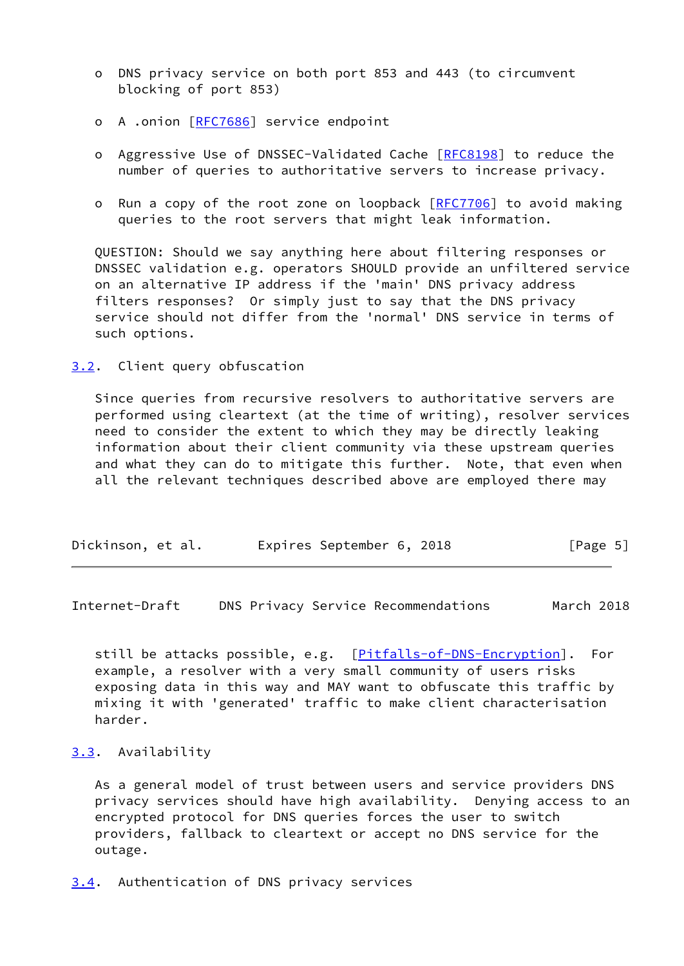- o DNS privacy service on both port 853 and 443 (to circumvent blocking of port 853)
- o A .onion [\[RFC7686](https://datatracker.ietf.org/doc/pdf/rfc7686)] service endpoint
- o Aggressive Use of DNSSEC-Validated Cache [\[RFC8198](https://datatracker.ietf.org/doc/pdf/rfc8198)] to reduce the number of queries to authoritative servers to increase privacy.
- o Run a copy of the root zone on loopback [[RFC7706\]](https://datatracker.ietf.org/doc/pdf/rfc7706) to avoid making queries to the root servers that might leak information.

 QUESTION: Should we say anything here about filtering responses or DNSSEC validation e.g. operators SHOULD provide an unfiltered service on an alternative IP address if the 'main' DNS privacy address filters responses? Or simply just to say that the DNS privacy service should not differ from the 'normal' DNS service in terms of such options.

<span id="page-5-0"></span>[3.2](#page-5-0). Client query obfuscation

 Since queries from recursive resolvers to authoritative servers are performed using cleartext (at the time of writing), resolver services need to consider the extent to which they may be directly leaking information about their client community via these upstream queries and what they can do to mitigate this further. Note, that even when all the relevant techniques described above are employed there may

| Dickinson, et al. | Expires September 6, 2018 | [Page 5] |
|-------------------|---------------------------|----------|
|-------------------|---------------------------|----------|

<span id="page-5-2"></span>Internet-Draft DNS Privacy Service Recommendations March 2018

still be attacks possible, e.g. [\[Pitfalls-of-DNS-Encryption\]](#page-12-3). For example, a resolver with a very small community of users risks exposing data in this way and MAY want to obfuscate this traffic by mixing it with 'generated' traffic to make client characterisation harder.

### <span id="page-5-1"></span>[3.3](#page-5-1). Availability

 As a general model of trust between users and service providers DNS privacy services should have high availability. Denying access to an encrypted protocol for DNS queries forces the user to switch providers, fallback to cleartext or accept no DNS service for the outage.

<span id="page-5-3"></span>[3.4](#page-5-3). Authentication of DNS privacy services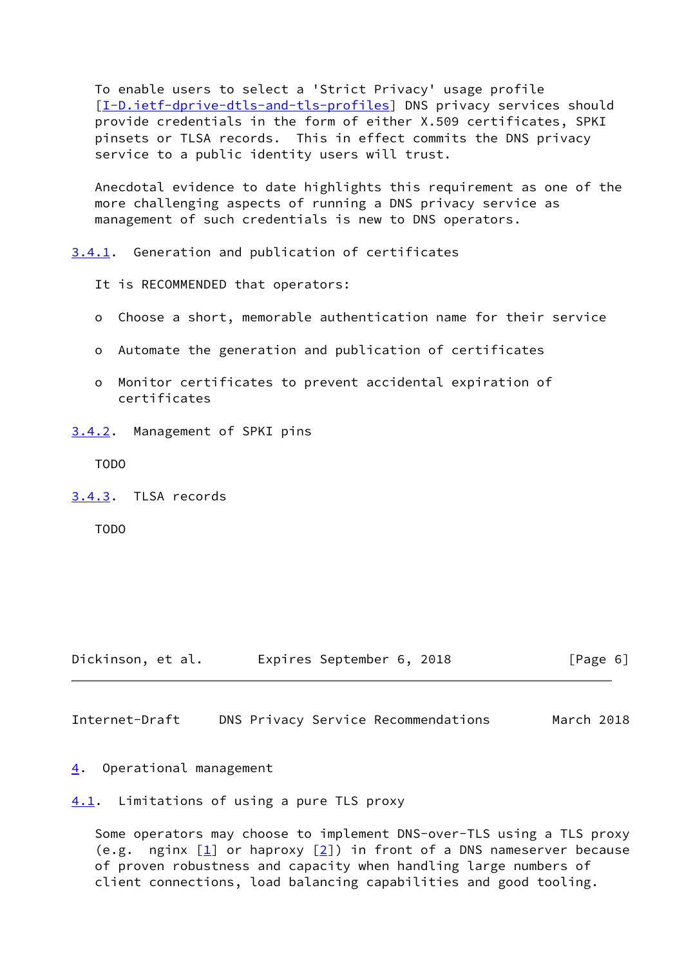To enable users to select a 'Strict Privacy' usage profile [\[I-D.ietf-dprive-dtls-and-tls-profiles](#page-10-4)] DNS privacy services should provide credentials in the form of either X.509 certificates, SPKI pinsets or TLSA records. This in effect commits the DNS privacy service to a public identity users will trust.

 Anecdotal evidence to date highlights this requirement as one of the more challenging aspects of running a DNS privacy service as management of such credentials is new to DNS operators.

<span id="page-6-0"></span>[3.4.1](#page-6-0). Generation and publication of certificates

It is RECOMMENDED that operators:

- o Choose a short, memorable authentication name for their service
- o Automate the generation and publication of certificates
- Monitor certificates to prevent accidental expiration of certificates
- <span id="page-6-1"></span>[3.4.2](#page-6-1). Management of SPKI pins

TODO

<span id="page-6-2"></span>[3.4.3](#page-6-2). TLSA records

TODO

Dickinson, et al. Expires September 6, 2018 [Page 6]

<span id="page-6-4"></span>Internet-Draft DNS Privacy Service Recommendations March 2018

## <span id="page-6-3"></span>[4](#page-6-3). Operational management

<span id="page-6-5"></span>[4.1](#page-6-5). Limitations of using a pure TLS proxy

 Some operators may choose to implement DNS-over-TLS using a TLS proxy (e.g. nginx  $[1]$  or haproxy  $[2]$  $[2]$ ) in front of a DNS nameserver because of proven robustness and capacity when handling large numbers of client connections, load balancing capabilities and good tooling.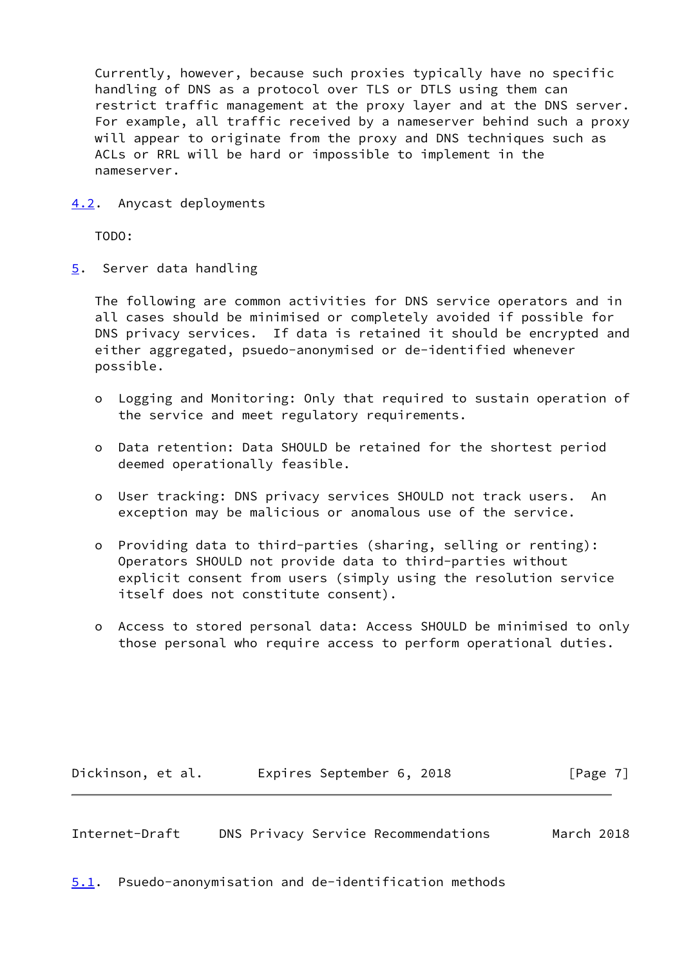Currently, however, because such proxies typically have no specific handling of DNS as a protocol over TLS or DTLS using them can restrict traffic management at the proxy layer and at the DNS server. For example, all traffic received by a nameserver behind such a proxy will appear to originate from the proxy and DNS techniques such as ACLs or RRL will be hard or impossible to implement in the nameserver.

<span id="page-7-0"></span>[4.2](#page-7-0). Anycast deployments

TODO:

<span id="page-7-1"></span>[5](#page-7-1). Server data handling

 The following are common activities for DNS service operators and in all cases should be minimised or completely avoided if possible for DNS privacy services. If data is retained it should be encrypted and either aggregated, psuedo-anonymised or de-identified whenever possible.

- o Logging and Monitoring: Only that required to sustain operation of the service and meet regulatory requirements.
- o Data retention: Data SHOULD be retained for the shortest period deemed operationally feasible.
- o User tracking: DNS privacy services SHOULD not track users. An exception may be malicious or anomalous use of the service.
- o Providing data to third-parties (sharing, selling or renting): Operators SHOULD not provide data to third-parties without explicit consent from users (simply using the resolution service itself does not constitute consent).
- o Access to stored personal data: Access SHOULD be minimised to only those personal who require access to perform operational duties.

Dickinson, et al. Expires September 6, 2018 [Page 7]

<span id="page-7-3"></span>Internet-Draft DNS Privacy Service Recommendations March 2018

<span id="page-7-2"></span>[5.1](#page-7-2). Psuedo-anonymisation and de-identification methods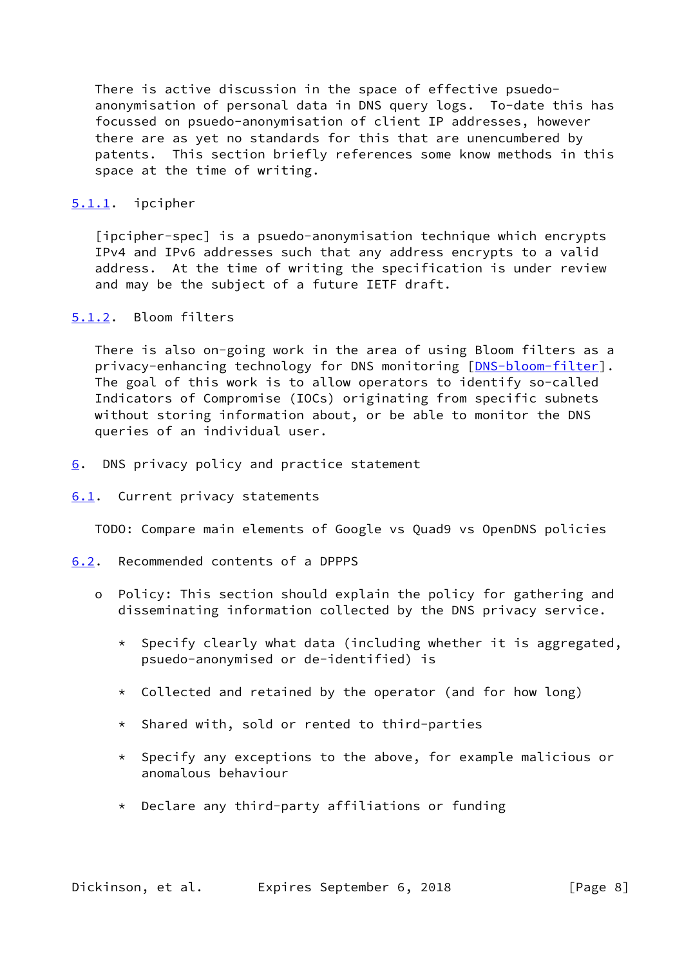There is active discussion in the space of effective psuedo anonymisation of personal data in DNS query logs. To-date this has focussed on psuedo-anonymisation of client IP addresses, however there are as yet no standards for this that are unencumbered by patents. This section briefly references some know methods in this space at the time of writing.

### <span id="page-8-0"></span>[5.1.1](#page-8-0). ipcipher

 [ipcipher-spec] is a psuedo-anonymisation technique which encrypts IPv4 and IPv6 addresses such that any address encrypts to a valid address. At the time of writing the specification is under review and may be the subject of a future IETF draft.

# <span id="page-8-1"></span>[5.1.2](#page-8-1). Bloom filters

 There is also on-going work in the area of using Bloom filters as a privacy-enhancing technology for DNS monitoring [\[DNS-bloom-filter](#page-11-2)]. The goal of this work is to allow operators to identify so-called Indicators of Compromise (IOCs) originating from specific subnets without storing information about, or be able to monitor the DNS queries of an individual user.

<span id="page-8-2"></span>[6](#page-8-2). DNS privacy policy and practice statement

#### <span id="page-8-3"></span>[6.1](#page-8-3). Current privacy statements

TODO: Compare main elements of Google vs Quad9 vs OpenDNS policies

- <span id="page-8-4"></span>[6.2](#page-8-4). Recommended contents of a DPPPS
	- o Policy: This section should explain the policy for gathering and disseminating information collected by the DNS privacy service.
		- \* Specify clearly what data (including whether it is aggregated, psuedo-anonymised or de-identified) is
		- \* Collected and retained by the operator (and for how long)
		- \* Shared with, sold or rented to third-parties
		- \* Specify any exceptions to the above, for example malicious or anomalous behaviour
		- \* Declare any third-party affiliations or funding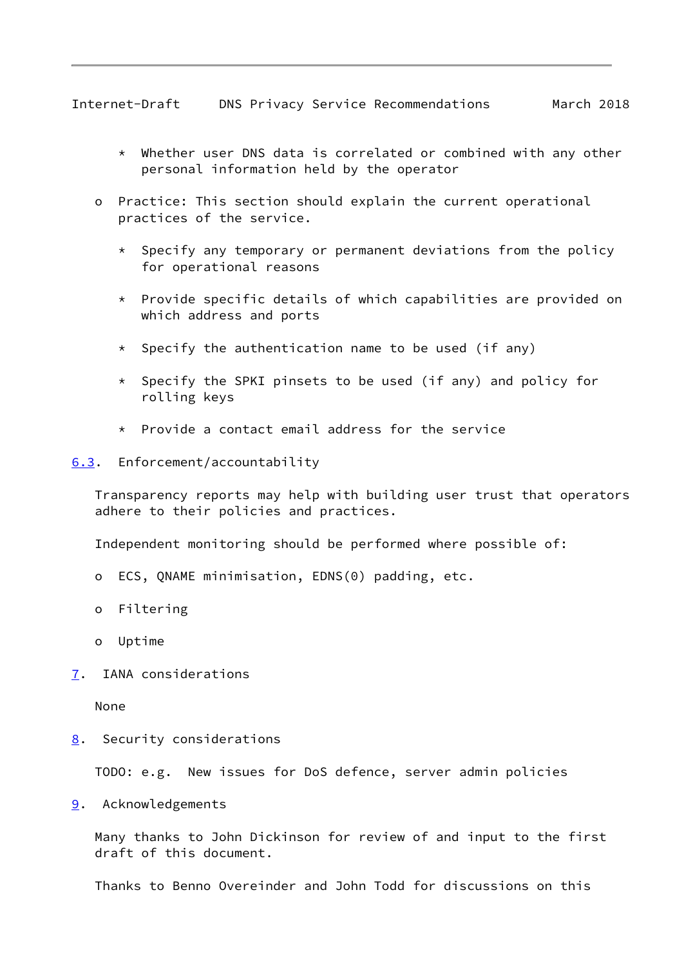<span id="page-9-1"></span>Internet-Draft DNS Privacy Service Recommendations March 2018

- \* Whether user DNS data is correlated or combined with any other personal information held by the operator
- o Practice: This section should explain the current operational practices of the service.
	- \* Specify any temporary or permanent deviations from the policy for operational reasons
	- \* Provide specific details of which capabilities are provided on which address and ports
	- $*$  Specify the authentication name to be used (if any)
	- \* Specify the SPKI pinsets to be used (if any) and policy for rolling keys
	- \* Provide a contact email address for the service
- <span id="page-9-0"></span>[6.3](#page-9-0). Enforcement/accountability

 Transparency reports may help with building user trust that operators adhere to their policies and practices.

Independent monitoring should be performed where possible of:

- o ECS, QNAME minimisation, EDNS(0) padding, etc.
- o Filtering
- o Uptime
- <span id="page-9-2"></span>[7](#page-9-2). IANA considerations

None

<span id="page-9-3"></span>[8](#page-9-3). Security considerations

TODO: e.g. New issues for DoS defence, server admin policies

<span id="page-9-4"></span>[9](#page-9-4). Acknowledgements

 Many thanks to John Dickinson for review of and input to the first draft of this document.

Thanks to Benno Overeinder and John Todd for discussions on this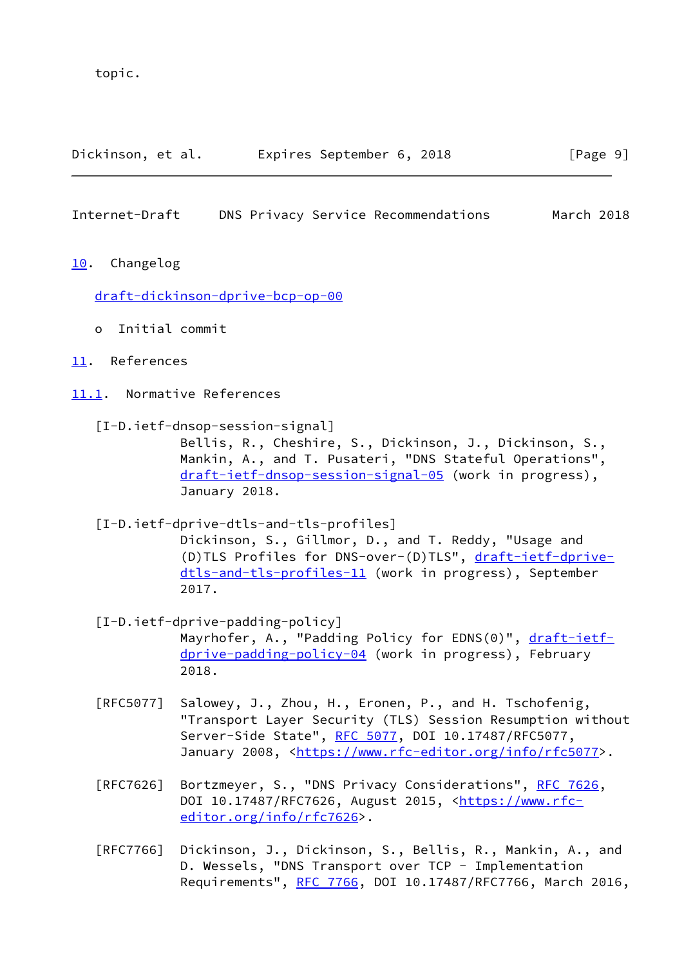topic.

| Dickinson, et al. | Expires September 6, 2018 | [Page 9] |
|-------------------|---------------------------|----------|
|-------------------|---------------------------|----------|

### <span id="page-10-1"></span>Internet-Draft DNS Privacy Service Recommendations March 2018

<span id="page-10-0"></span>[10.](#page-10-0) Changelog

[draft-dickinson-dprive-bcp-op-00](https://datatracker.ietf.org/doc/pdf/draft-dickinson-dprive-bcp-op-00)

- o Initial commit
- <span id="page-10-2"></span>[11.](#page-10-2) References
- <span id="page-10-6"></span><span id="page-10-3"></span>[11.1](#page-10-3). Normative References
	- [I-D.ietf-dnsop-session-signal] Bellis, R., Cheshire, S., Dickinson, J., Dickinson, S., Mankin, A., and T. Pusateri, "DNS Stateful Operations", [draft-ietf-dnsop-session-signal-05](https://datatracker.ietf.org/doc/pdf/draft-ietf-dnsop-session-signal-05) (work in progress), January 2018.
	- [I-D.ietf-dprive-dtls-and-tls-profiles]

<span id="page-10-4"></span> Dickinson, S., Gillmor, D., and T. Reddy, "Usage and (D)TLS Profiles for DNS-over-(D)TLS", [draft-ietf-dprive](https://datatracker.ietf.org/doc/pdf/draft-ietf-dprive-dtls-and-tls-profiles-11) [dtls-and-tls-profiles-11](https://datatracker.ietf.org/doc/pdf/draft-ietf-dprive-dtls-and-tls-profiles-11) (work in progress), September 2017.

- <span id="page-10-5"></span> [I-D.ietf-dprive-padding-policy] Mayrhofer, A., "Padding Policy for EDNS(0)", [draft-ietf](https://datatracker.ietf.org/doc/pdf/draft-ietf-dprive-padding-policy-04) [dprive-padding-policy-04](https://datatracker.ietf.org/doc/pdf/draft-ietf-dprive-padding-policy-04) (work in progress), February 2018.
- [RFC5077] Salowey, J., Zhou, H., Eronen, P., and H. Tschofenig, "Transport Layer Security (TLS) Session Resumption without Server-Side State", [RFC 5077,](https://datatracker.ietf.org/doc/pdf/rfc5077) DOI 10.17487/RFC5077, January 2008, [<https://www.rfc-editor.org/info/rfc5077](https://www.rfc-editor.org/info/rfc5077)>.
- [RFC7626] Bortzmeyer, S., "DNS Privacy Considerations", [RFC 7626](https://datatracker.ietf.org/doc/pdf/rfc7626), DOI 10.17487/RFC7626, August 2015, <[https://www.rfc](https://www.rfc-editor.org/info/rfc7626) [editor.org/info/rfc7626](https://www.rfc-editor.org/info/rfc7626)>.
- [RFC7766] Dickinson, J., Dickinson, S., Bellis, R., Mankin, A., and D. Wessels, "DNS Transport over TCP - Implementation Requirements", [RFC 7766](https://datatracker.ietf.org/doc/pdf/rfc7766), DOI 10.17487/RFC7766, March 2016,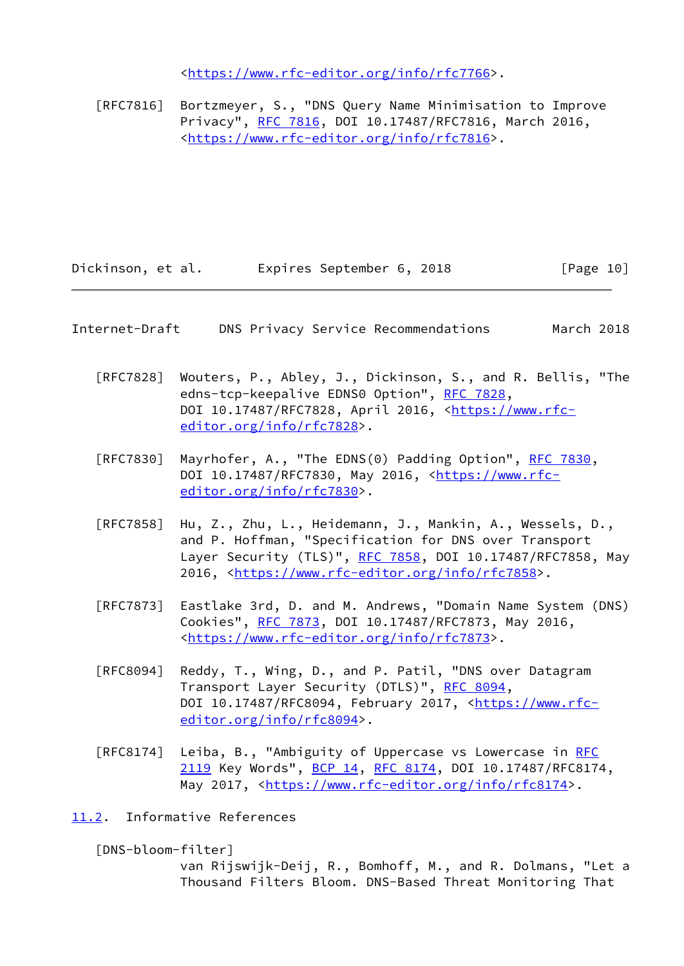<[https://www.rfc-editor.org/info/rfc7766>](https://www.rfc-editor.org/info/rfc7766).

 [RFC7816] Bortzmeyer, S., "DNS Query Name Minimisation to Improve Privacy", [RFC 7816](https://datatracker.ietf.org/doc/pdf/rfc7816), DOI 10.17487/RFC7816, March 2016, <[https://www.rfc-editor.org/info/rfc7816>](https://www.rfc-editor.org/info/rfc7816).

Dickinson, et al. Expires September 6, 2018 [Page 10]

#### <span id="page-11-1"></span>Internet-Draft DNS Privacy Service Recommendations March 2018

- [RFC7828] Wouters, P., Abley, J., Dickinson, S., and R. Bellis, "The edns-tcp-keepalive EDNS0 Option", [RFC 7828](https://datatracker.ietf.org/doc/pdf/rfc7828), DOI 10.17487/RFC7828, April 2016, [<https://www.rfc](https://www.rfc-editor.org/info/rfc7828) [editor.org/info/rfc7828](https://www.rfc-editor.org/info/rfc7828)>.
- [RFC7830] Mayrhofer, A., "The EDNS(0) Padding Option", [RFC 7830](https://datatracker.ietf.org/doc/pdf/rfc7830), DOI 10.17487/RFC7830, May 2016, <[https://www.rfc](https://www.rfc-editor.org/info/rfc7830) [editor.org/info/rfc7830](https://www.rfc-editor.org/info/rfc7830)>.
- [RFC7858] Hu, Z., Zhu, L., Heidemann, J., Mankin, A., Wessels, D., and P. Hoffman, "Specification for DNS over Transport Layer Security (TLS)", [RFC 7858](https://datatracker.ietf.org/doc/pdf/rfc7858), DOI 10.17487/RFC7858, May 2016, [<https://www.rfc-editor.org/info/rfc7858](https://www.rfc-editor.org/info/rfc7858)>.
- [RFC7873] Eastlake 3rd, D. and M. Andrews, "Domain Name System (DNS) Cookies", [RFC 7873](https://datatracker.ietf.org/doc/pdf/rfc7873), DOI 10.17487/RFC7873, May 2016, <[https://www.rfc-editor.org/info/rfc7873>](https://www.rfc-editor.org/info/rfc7873).
- [RFC8094] Reddy, T., Wing, D., and P. Patil, "DNS over Datagram Transport Layer Security (DTLS)", [RFC 8094](https://datatracker.ietf.org/doc/pdf/rfc8094), DOI 10.17487/RFC8094, February 2017, [<https://www.rfc](https://www.rfc-editor.org/info/rfc8094) [editor.org/info/rfc8094](https://www.rfc-editor.org/info/rfc8094)>.
- [RFC8174] Leiba, B., "Ambiguity of Uppercase vs Lowercase in [RFC](https://datatracker.ietf.org/doc/pdf/rfc2119) [2119](https://datatracker.ietf.org/doc/pdf/rfc2119) Key Words", [BCP 14](https://datatracker.ietf.org/doc/pdf/bcp14), [RFC 8174,](https://datatracker.ietf.org/doc/pdf/rfc8174) DOI 10.17487/RFC8174, May 2017, [<https://www.rfc-editor.org/info/rfc8174](https://www.rfc-editor.org/info/rfc8174)>.

### <span id="page-11-0"></span>[11.2](#page-11-0). Informative References

<span id="page-11-2"></span>[DNS-bloom-filter]

 van Rijswijk-Deij, R., Bomhoff, M., and R. Dolmans, "Let a Thousand Filters Bloom. DNS-Based Threat Monitoring That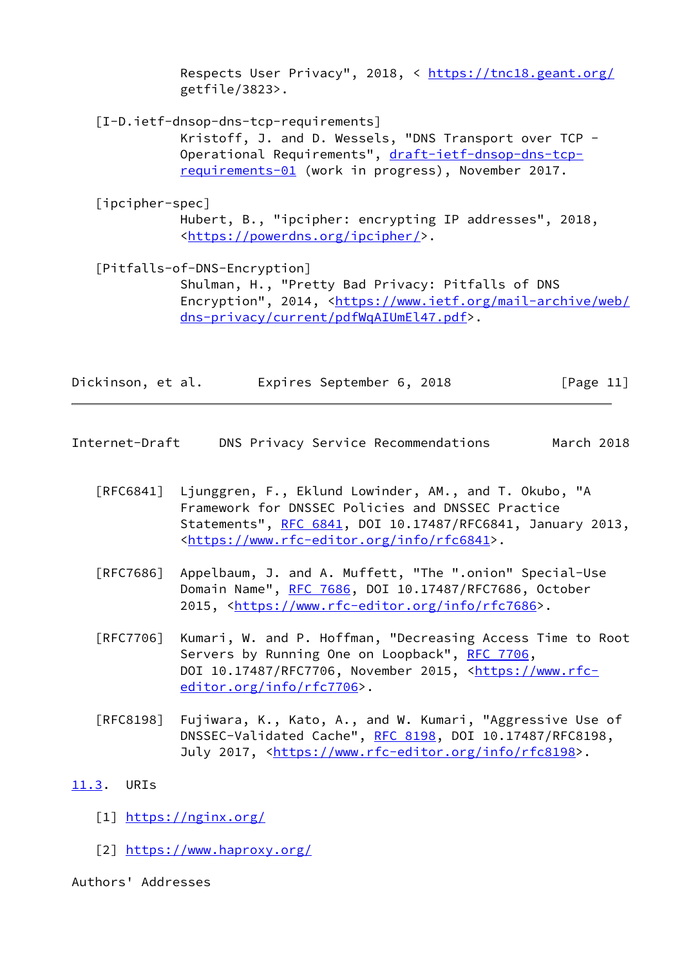Respects User Privacy", 2018, < <https://tnc18.geant.org/> getfile/3823>.

<span id="page-12-2"></span>[I-D.ietf-dnsop-dns-tcp-requirements]

 Kristoff, J. and D. Wessels, "DNS Transport over TCP Operational Requirements", [draft-ietf-dnsop-dns-tcp](https://datatracker.ietf.org/doc/pdf/draft-ietf-dnsop-dns-tcp-requirements-01) [requirements-01](https://datatracker.ietf.org/doc/pdf/draft-ietf-dnsop-dns-tcp-requirements-01) (work in progress), November 2017.

[ipcipher-spec]

 Hubert, B., "ipcipher: encrypting IP addresses", 2018, <<https://powerdns.org/ipcipher/>>.

<span id="page-12-3"></span>[Pitfalls-of-DNS-Encryption]

 Shulman, H., "Pretty Bad Privacy: Pitfalls of DNS Encryption", 2014, <[https://www.ietf.org/mail-archive/web/](https://www.ietf.org/mail-archive/web/dns-privacy/current/pdfWqAIUmEl47.pdf) [dns-privacy/current/pdfWqAIUmEl47.pdf>](https://www.ietf.org/mail-archive/web/dns-privacy/current/pdfWqAIUmEl47.pdf).

| Dickinson, et al. | Expires September 6, 2018 | [Page 11] |
|-------------------|---------------------------|-----------|
|-------------------|---------------------------|-----------|

<span id="page-12-1"></span>Internet-Draft DNS Privacy Service Recommendations March 2018

- [RFC6841] Ljunggren, F., Eklund Lowinder, AM., and T. Okubo, "A Framework for DNSSEC Policies and DNSSEC Practice Statements", [RFC 6841](https://datatracker.ietf.org/doc/pdf/rfc6841), DOI 10.17487/RFC6841, January 2013, <[https://www.rfc-editor.org/info/rfc6841>](https://www.rfc-editor.org/info/rfc6841).
- [RFC7686] Appelbaum, J. and A. Muffett, "The ".onion" Special-Use Domain Name", [RFC 7686](https://datatracker.ietf.org/doc/pdf/rfc7686), DOI 10.17487/RFC7686, October 2015, [<https://www.rfc-editor.org/info/rfc7686](https://www.rfc-editor.org/info/rfc7686)>.
- [RFC7706] Kumari, W. and P. Hoffman, "Decreasing Access Time to Root Servers by Running One on Loopback", [RFC 7706](https://datatracker.ietf.org/doc/pdf/rfc7706), DOI 10.17487/RFC7706, November 2015, [<https://www.rfc](https://www.rfc-editor.org/info/rfc7706) [editor.org/info/rfc7706](https://www.rfc-editor.org/info/rfc7706)>.
- [RFC8198] Fujiwara, K., Kato, A., and W. Kumari, "Aggressive Use of DNSSEC-Validated Cache", [RFC 8198,](https://datatracker.ietf.org/doc/pdf/rfc8198) DOI 10.17487/RFC8198, July 2017, <<https://www.rfc-editor.org/info/rfc8198>>.

# <span id="page-12-0"></span>[11.3](#page-12-0). URIs

- <span id="page-12-4"></span>[1] <https://nginx.org/>
- <span id="page-12-5"></span>[2] <https://www.haproxy.org/>

Authors' Addresses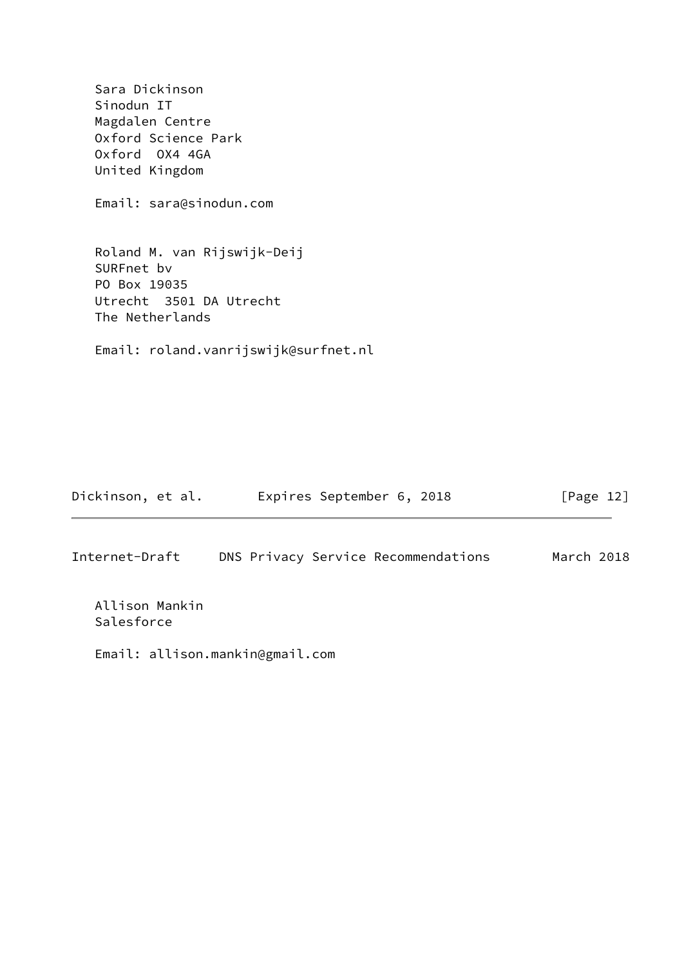Sara Dickinson Sinodun IT Magdalen Centre Oxford Science Park Oxford OX4 4GA United Kingdom Email: sara@sinodun.com Roland M. van Rijswijk-Deij SURFnet bv PO Box 19035 Utrecht 3501 DA Utrecht The Netherlands Email: roland.vanrijswijk@surfnet.nl

| Dickinson, et al. | Expires September 6, 2018           | $\lceil \text{Page 12} \rceil$ |
|-------------------|-------------------------------------|--------------------------------|
|                   |                                     |                                |
| Internet-Draft    | DNS Privacy Service Recommendations | March 2018                     |

 Allison Mankin Salesforce

Email: allison.mankin@gmail.com